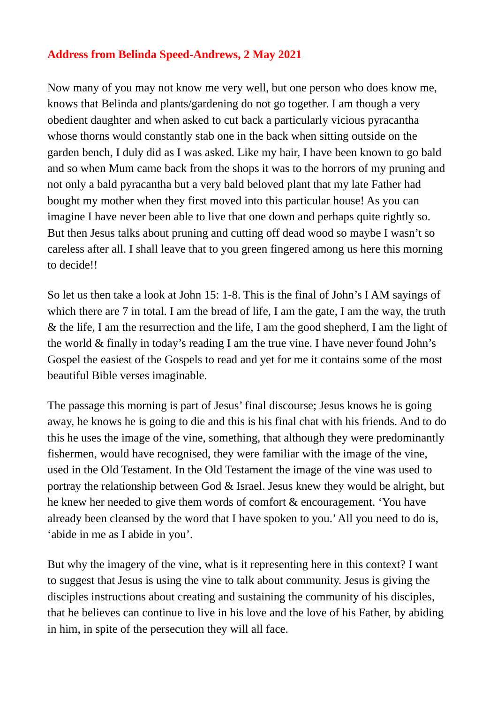## **Address from Belinda Speed-Andrews, 2 May 2021**

Now many of you may not know me very well, but one person who does know me, knows that Belinda and plants/gardening do not go together. I am though a very obedient daughter and when asked to cut back a particularly vicious pyracantha whose thorns would constantly stab one in the back when sitting outside on the garden bench, I duly did as I was asked. Like my hair, I have been known to go bald and so when Mum came back from the shops it was to the horrors of my pruning and not only a bald pyracantha but a very bald beloved plant that my late Father had bought my mother when they first moved into this particular house! As you can imagine I have never been able to live that one down and perhaps quite rightly so. But then Jesus talks about pruning and cutting off dead wood so maybe I wasn't so careless after all. I shall leave that to you green fingered among us here this morning to decide!!

So let us then take a look at John 15: 1-8. This is the final of John's I AM sayings of which there are 7 in total. I am the bread of life, I am the gate, I am the way, the truth & the life, I am the resurrection and the life, I am the good shepherd, I am the light of the world & finally in today's reading I am the true vine. I have never found John's Gospel the easiest of the Gospels to read and yet for me it contains some of the most beautiful Bible verses imaginable.

The passage this morning is part of Jesus' final discourse; Jesus knows he is going away, he knows he is going to die and this is his final chat with his friends. And to do this he uses the image of the vine, something, that although they were predominantly fishermen, would have recognised, they were familiar with the image of the vine, used in the Old Testament. In the Old Testament the image of the vine was used to portray the relationship between God & Israel. Jesus knew they would be alright, but he knew her needed to give them words of comfort & encouragement. 'You have already been cleansed by the word that I have spoken to you.' All you need to do is, 'abide in me as I abide in you'.

But why the imagery of the vine, what is it representing here in this context? I want to suggest that Jesus is using the vine to talk about community. Jesus is giving the disciples instructions about creating and sustaining the community of his disciples, that he believes can continue to live in his love and the love of his Father, by abiding in him, in spite of the persecution they will all face.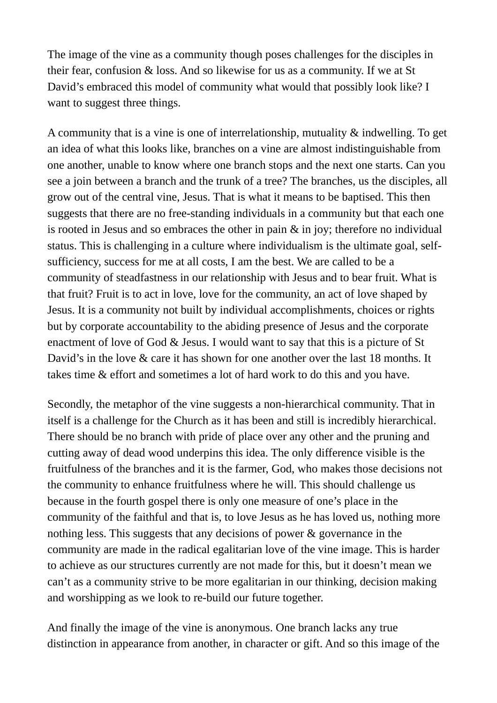The image of the vine as a community though poses challenges for the disciples in their fear, confusion & loss. And so likewise for us as a community. If we at St David's embraced this model of community what would that possibly look like? I want to suggest three things.

A community that is a vine is one of interrelationship, mutuality & indwelling. To get an idea of what this looks like, branches on a vine are almost indistinguishable from one another, unable to know where one branch stops and the next one starts. Can you see a join between a branch and the trunk of a tree? The branches, us the disciples, all grow out of the central vine, Jesus. That is what it means to be baptised. This then suggests that there are no free-standing individuals in a community but that each one is rooted in Jesus and so embraces the other in pain & in joy; therefore no individual status. This is challenging in a culture where individualism is the ultimate goal, selfsufficiency, success for me at all costs, I am the best. We are called to be a community of steadfastness in our relationship with Jesus and to bear fruit. What is that fruit? Fruit is to act in love, love for the community, an act of love shaped by Jesus. It is a community not built by individual accomplishments, choices or rights but by corporate accountability to the abiding presence of Jesus and the corporate enactment of love of God & Jesus. I would want to say that this is a picture of St David's in the love & care it has shown for one another over the last 18 months. It takes time & effort and sometimes a lot of hard work to do this and you have.

Secondly, the metaphor of the vine suggests a non-hierarchical community. That in itself is a challenge for the Church as it has been and still is incredibly hierarchical. There should be no branch with pride of place over any other and the pruning and cutting away of dead wood underpins this idea. The only difference visible is the fruitfulness of the branches and it is the farmer, God, who makes those decisions not the community to enhance fruitfulness where he will. This should challenge us because in the fourth gospel there is only one measure of one's place in the community of the faithful and that is, to love Jesus as he has loved us, nothing more nothing less. This suggests that any decisions of power & governance in the community are made in the radical egalitarian love of the vine image. This is harder to achieve as our structures currently are not made for this, but it doesn't mean we can't as a community strive to be more egalitarian in our thinking, decision making and worshipping as we look to re-build our future together.

And finally the image of the vine is anonymous. One branch lacks any true distinction in appearance from another, in character or gift. And so this image of the